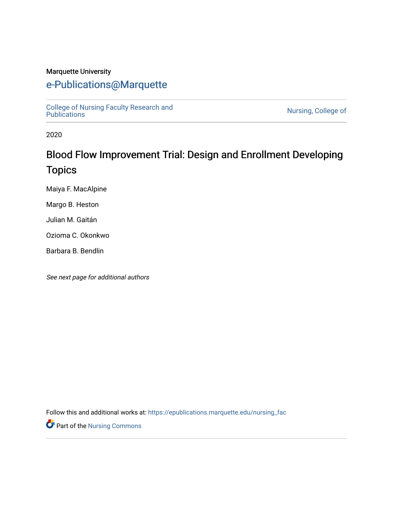#### Marquette University

## [e-Publications@Marquette](https://epublications.marquette.edu/)

[College of Nursing Faculty Research and](https://epublications.marquette.edu/nursing_fac)

Nursing, College of

2020

# Blood Flow Improvement Trial: Design and Enrollment Developing Topics

Maiya F. MacAlpine

Margo B. Heston

Julian M. Gaitán

Ozioma C. Okonkwo

Barbara B. Bendlin

See next page for additional authors

Follow this and additional works at: [https://epublications.marquette.edu/nursing\\_fac](https://epublications.marquette.edu/nursing_fac?utm_source=epublications.marquette.edu%2Fnursing_fac%2F879&utm_medium=PDF&utm_campaign=PDFCoverPages)

Part of the [Nursing Commons](http://network.bepress.com/hgg/discipline/718?utm_source=epublications.marquette.edu%2Fnursing_fac%2F879&utm_medium=PDF&utm_campaign=PDFCoverPages)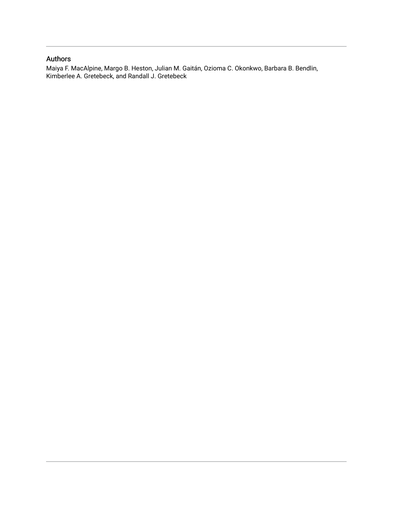#### Authors

Maiya F. MacAlpine, Margo B. Heston, Julian M. Gaitán, Ozioma C. Okonkwo, Barbara B. Bendlin, Kimberlee A. Gretebeck, and Randall J. Gretebeck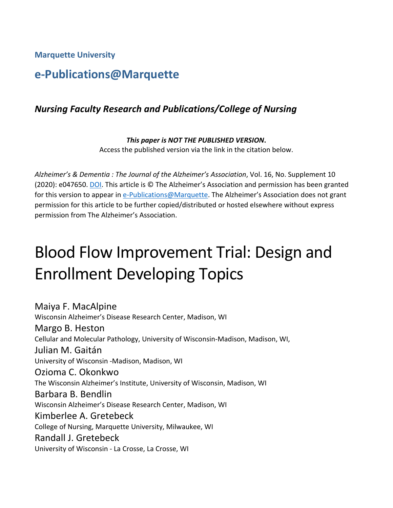**Marquette University**

# **e-Publications@Marquette**

## *Nursing Faculty Research and Publications/College of Nursing*

*This paper is NOT THE PUBLISHED VERSION***.**  Access the published version via the link in the citation below.

*Alzheimer's & Dementia : The Journal of the Alzheimer's Association*, Vol. 16, No. Supplement 10 (2020): e047650[. DOI.](https://doi.org/10.1002/alz.047650) This article is © The Alzheimer's Association and permission has been granted for this version to appear in [e-Publications@Marquette.](http://epublications.marquette.edu/) The Alzheimer's Association does not grant permission for this article to be further copied/distributed or hosted elsewhere without express permission from The Alzheimer's Association.

# Blood Flow Improvement Trial: Design and Enrollment Developing Topics

Maiya F. MacAlpine Wisconsin Alzheimer's Disease Research Center, Madison, WI Margo B. Heston Cellular and Molecular Pathology, University of Wisconsin-Madison, Madison, WI, Julian M. Gaitán University of Wisconsin -Madison, Madison, WI Ozioma C. Okonkwo The Wisconsin Alzheimer's Institute, University of Wisconsin, Madison, WI Barbara B. Bendlin Wisconsin Alzheimer's Disease Research Center, Madison, WI Kimberlee A. Gretebeck College of Nursing, Marquette University, Milwaukee, WI Randall J. Gretebeck University of Wisconsin - La Crosse, La Crosse, WI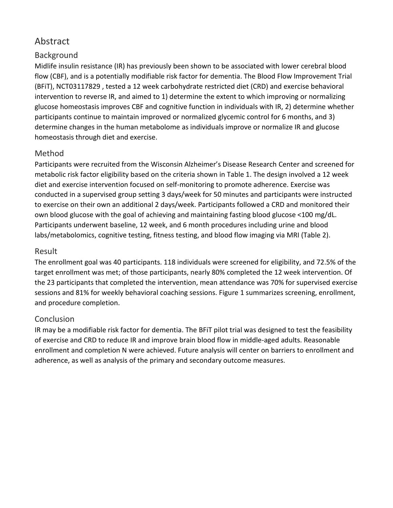## Abstract

## Background

Midlife insulin resistance (IR) has previously been shown to be associated with lower cerebral blood flow (CBF), and is a potentially modifiable risk factor for dementia. The Blood Flow Improvement Trial (BFiT), NCT03117829 , tested a 12 week carbohydrate restricted diet (CRD) and exercise behavioral intervention to reverse IR, and aimed to 1) determine the extent to which improving or normalizing glucose homeostasis improves CBF and cognitive function in individuals with IR, 2) determine whether participants continue to maintain improved or normalized glycemic control for 6 months, and 3) determine changes in the human metabolome as individuals improve or normalize IR and glucose homeostasis through diet and exercise.

#### Method

Participants were recruited from the Wisconsin Alzheimer's Disease Research Center and screened for metabolic risk factor eligibility based on the criteria shown in Table 1. The design involved a 12 week diet and exercise intervention focused on self-monitoring to promote adherence. Exercise was conducted in a supervised group setting 3 days/week for 50 minutes and participants were instructed to exercise on their own an additional 2 days/week. Participants followed a CRD and monitored their own blood glucose with the goal of achieving and maintaining fasting blood glucose <100 mg/dL. Participants underwent baseline, 12 week, and 6 month procedures including urine and blood labs/metabolomics, cognitive testing, fitness testing, and blood flow imaging via MRI (Table 2).

### Result

The enrollment goal was 40 participants. 118 individuals were screened for eligibility, and 72.5% of the target enrollment was met; of those participants, nearly 80% completed the 12 week intervention. Of the 23 participants that completed the intervention, mean attendance was 70% for supervised exercise sessions and 81% for weekly behavioral coaching sessions. Figure 1 summarizes screening, enrollment, and procedure completion.

## **Conclusion**

IR may be a modifiable risk factor for dementia. The BFiT pilot trial was designed to test the feasibility of exercise and CRD to reduce IR and improve brain blood flow in middle-aged adults. Reasonable enrollment and completion N were achieved. Future analysis will center on barriers to enrollment and adherence, as well as analysis of the primary and secondary outcome measures.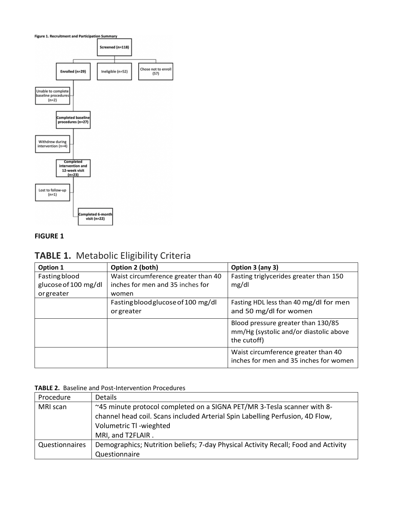

#### **FIGURE 1**

## **TABLE 1.** Metabolic Eligibility Criteria

| Option 1             | Option 2 (both)                     | Option 3 (any 3)                                                                            |
|----------------------|-------------------------------------|---------------------------------------------------------------------------------------------|
| <b>Fasting blood</b> | Waist circumference greater than 40 | Fasting triglycerides greater than 150                                                      |
| glucose of 100 mg/dl | inches for men and 35 inches for    | mg/dl                                                                                       |
| orgreater            | women                               |                                                                                             |
|                      | Fasting blood glucose of 100 mg/dl  | Fasting HDL less than 40 mg/dl for men                                                      |
|                      | or greater                          | and 50 mg/dl for women                                                                      |
|                      |                                     | Blood pressure greater than 130/85<br>mm/Hg (systolic and/or diastolic above<br>the cutoff) |
|                      |                                     | Waist circumference greater than 40<br>inches for men and 35 inches for women               |

#### **TABLE 2.** Baseline and Post-Intervention Procedures

| Procedure      | Details                                                                            |
|----------------|------------------------------------------------------------------------------------|
| MRI scan       | ~45 minute protocol completed on a SIGNA PET/MR 3-Tesla scanner with 8-            |
|                | channel head coil. Scans included Arterial Spin Labelling Perfusion, 4D Flow,      |
|                | Volumetric TI-wieghted                                                             |
|                | MRI, and T2FLAIR.                                                                  |
| Questionnaires | Demographics; Nutrition beliefs; 7-day Physical Activity Recall; Food and Activity |
|                | Questionnaire                                                                      |